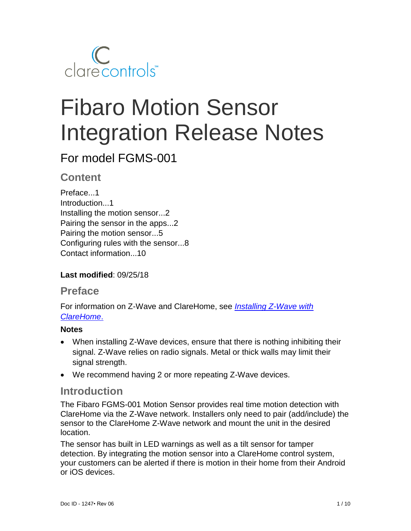

# Fibaro Motion Sensor Integration Release Notes

# For model FGMS-001

# **Content**

Preface...1 Introduction...1 Installing the motion sensor...2 Pairing the sensor in the apps...2 Pairing the motion sensor...5 Configuring rules with the sensor...8 Contact information...10

## **Last modified**: 09/25/18

## **Preface**

For information on Z-Wave and ClareHome, see *[Installing Z-Wave with](https://www.clarecontrols.com/helpcenter/installing-z-wave-with-clarehome-tech-bulletin)  [ClareHome](https://www.clarecontrols.com/helpcenter/installing-z-wave-with-clarehome-tech-bulletin)*.

## **Notes**

- When installing Z-Wave devices, ensure that there is nothing inhibiting their signal. Z-Wave relies on radio signals. Metal or thick walls may limit their signal strength.
- We recommend having 2 or more repeating Z-Wave devices.

## **Introduction**

The Fibaro FGMS-001 Motion Sensor provides real time motion detection with ClareHome via the Z-Wave network. Installers only need to pair (add/include) the sensor to the ClareHome Z-Wave network and mount the unit in the desired location.

The sensor has built in LED warnings as well as a tilt sensor for tamper detection. By integrating the motion sensor into a ClareHome control system, your customers can be alerted if there is motion in their home from their Android or iOS devices.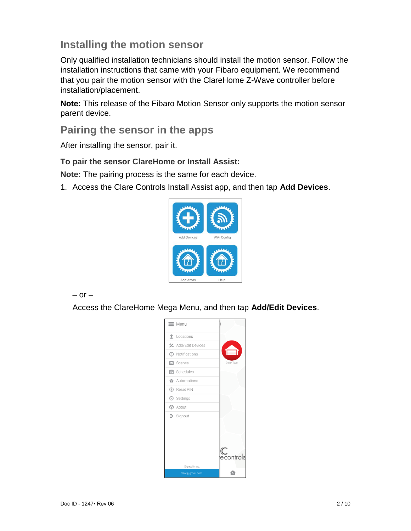# **Installing the motion sensor**

Only qualified installation technicians should install the motion sensor. Follow the installation instructions that came with your Fibaro equipment. We recommend that you pair the motion sensor with the ClareHome Z-Wave controller before installation/placement.

**Note:** This release of the Fibaro Motion Sensor only supports the motion sensor parent device.

## **Pairing the sensor in the apps**

After installing the sensor, pair it.

**To pair the sensor ClareHome or Install Assist:** 

**Note:** The pairing process is the same for each device.

1. Access the Clare Controls Install Assist app, and then tap **Add Devices**.



 $-$  or  $-$ 

Access the ClareHome Mega Menu, and then tap **Add/Edit Devices**.

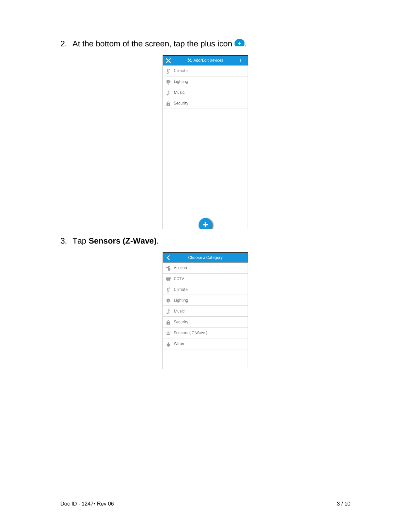2. At the bottom of the screen, tap the plus icon  $\bullet$ .

| ×                | <b>½</b> Add/Edit Devices<br>ŧ |
|------------------|--------------------------------|
| $\text{B}^\circ$ | Climate                        |
| $\mathbf{D}$     | Lighting                       |
| ♪                | Music                          |
|                  | <b>A</b> Security              |
|                  |                                |
|                  |                                |
|                  |                                |
|                  |                                |
|                  |                                |
|                  |                                |
|                  |                                |
|                  |                                |
|                  |                                |
|                  |                                |
|                  |                                |

3. Tap **Sensors (Z-Wave)**.

|                  | <b>Choose a Category</b> |
|------------------|--------------------------|
|                  | $\exists$ . Access       |
|                  | $\equiv$ CCTV            |
| $\text{R}^\circ$ | Climate                  |
| 靊                | Lighting                 |
|                  | Nusic                    |
| а                | Security                 |
|                  | Sensors (Z-Wave)         |
|                  | Water                    |
|                  |                          |
|                  |                          |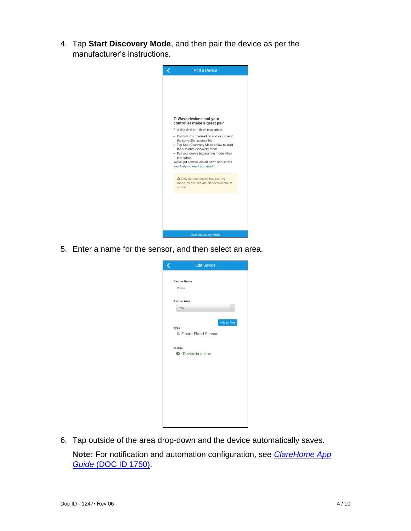4. Tap **Start Discovery Mode**, and then pair the device as per the manufacturer's instructions.



5. Enter a name for the sensor, and then select an area.

| <b>Edit Device</b>                                     |
|--------------------------------------------------------|
| <b>Device Name</b><br>Motion                           |
| <b>Device Area</b>                                     |
| Tray                                                   |
| Add an Area<br>Type<br><sup> Fibaro-Flood Sensor</sup> |
| <b>Status</b><br><b>O</b> Device is online             |
|                                                        |
|                                                        |
|                                                        |
|                                                        |
|                                                        |

6. Tap outside of the area drop-down and the device automatically saves.

**Note:** For notification and automation configuration, see *[ClareHome App](https://knowledgebaseclarecontrols.atlassian.net/wiki/spaces/CA/pages/421265410/ClareHome+App+Guide)  Guide* [\(DOC ID 1750\).](https://knowledgebaseclarecontrols.atlassian.net/wiki/spaces/CA/pages/421265410/ClareHome+App+Guide)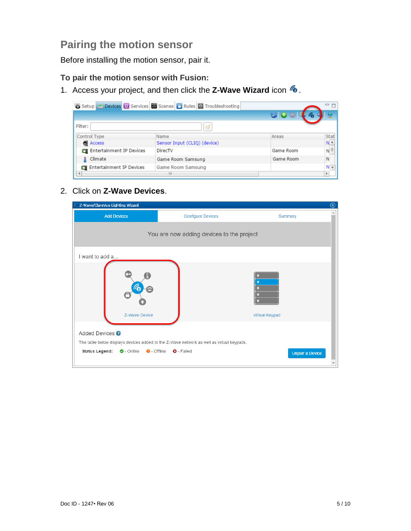# **Pairing the motion sensor**

Before installing the motion sensor, pair it.

### **To pair the motion sensor with Fusion:**

1. Access your project, and then click the **Z-Wave Wizard** icon **6**.

|                          | Setup <b>Devices &amp; Services</b> Scenes <b>&amp; Rules</b> Troubleshooting |           | 一日                |
|--------------------------|-------------------------------------------------------------------------------|-----------|-------------------|
|                          |                                                                               |           |                   |
| Filter:                  | B                                                                             |           |                   |
| Control Type             | Name                                                                          | Areas     | Stat              |
| <b>Access</b>            | Sensor Input (CLIQ) (device)                                                  |           | $N^{\frac{A}{A}}$ |
| Entertainment IP Devices | DirecTV                                                                       | Game Room | $N \equiv$        |
| Climate                  | Game Room Samsung                                                             | Game Room | N                 |
| Entertainment IP Devices | Game Room Samsung                                                             |           | N                 |
|                          | Ш                                                                             |           |                   |

## 2. Click on **Z-Wave Devices**.

| <b>Add Devices</b><br><b>Configure Devices</b>                                                                                                                                 | Summary                |
|--------------------------------------------------------------------------------------------------------------------------------------------------------------------------------|------------------------|
|                                                                                                                                                                                |                        |
| You are now adding devices to the project                                                                                                                                      |                        |
| I want to add a                                                                                                                                                                |                        |
|                                                                                                                                                                                |                        |
| Z-Wave Device                                                                                                                                                                  | <b>Virtual Keypad</b>  |
| Added Devices <sup>?</sup><br>The table below displays devices added to the Z-Wave network as well as virtual keypads.<br>O-Online O-Offline O-Failed<br><b>Status Legend:</b> | <b>Unpair a Device</b> |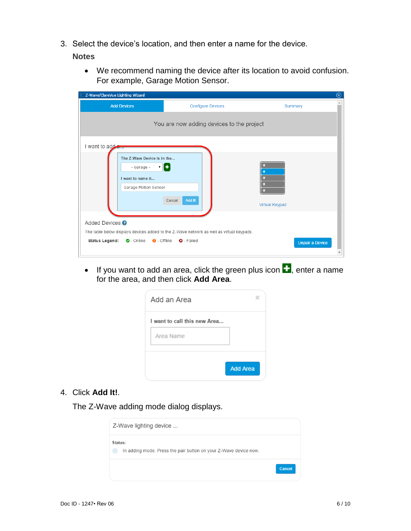3. Select the device's location, and then enter a name for the device.

#### **Notes**

• We recommend naming the device after its location to avoid confusion. For example, Garage Motion Sensor.

| Z-Wave/ClareVue Lighting Wizard                                                               |                                                                                                               | ⊗                      |
|-----------------------------------------------------------------------------------------------|---------------------------------------------------------------------------------------------------------------|------------------------|
| <b>Add Devices</b>                                                                            | <b>Configure Devices</b>                                                                                      | Summary                |
|                                                                                               | You are now adding devices to the project                                                                     |                        |
| I want to add a                                                                               |                                                                                                               |                        |
| The Z-Wave Device is in the<br>- Garage -<br>I want to name it<br><b>Garage Motion Sensor</b> | 7   €<br>Add It!<br>Cancel                                                                                    | <b>Virtual Keypad</b>  |
| Added Devices <sup>?</sup>                                                                    |                                                                                                               |                        |
| $\bullet$ - Online $\bullet$ - Offline<br><b>Status Legend:</b>                               | The table below displays devices added to the Z-Wave network as well as virtual keypads.<br><b>Q</b> - Failed | <b>Unpair a Device</b> |

• If you want to add an area, click the green plus icon  $\blacksquare$ , enter a name for the area, and then click **Add Area**.

| I want to call this new Area |  |
|------------------------------|--|
| Area Name                    |  |
|                              |  |

4. Click **Add It!**.

The Z-Wave adding mode dialog displays.

| Z-Wave lighting device                                                      |        |
|-----------------------------------------------------------------------------|--------|
| Status:<br>In adding mode. Press the pair button on your Z-Wave device now. |        |
|                                                                             | Cancel |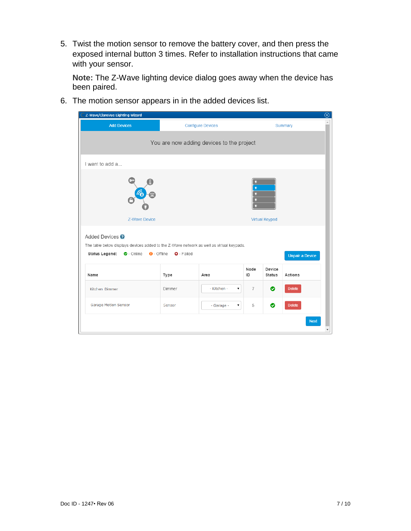5. Twist the motion sensor to remove the battery cover, and then press the exposed internal button 3 times. Refer to installation instructions that came with your sensor.

**Note:** The Z-Wave lighting device dialog goes away when the device has been paired.

6. The motion sensor appears in in the added devices list.

| Z-Wave/ClareVue Lighting Wizard                                                                                                                                                                                                            |        |                          |                |                         | $\circledcirc$ |
|--------------------------------------------------------------------------------------------------------------------------------------------------------------------------------------------------------------------------------------------|--------|--------------------------|----------------|-------------------------|----------------|
| <b>Add Devices</b>                                                                                                                                                                                                                         |        | <b>Configure Devices</b> |                |                         | Summary        |
| You are now adding devices to the project                                                                                                                                                                                                  |        |                          |                |                         |                |
| I want to add a                                                                                                                                                                                                                            |        |                          |                |                         |                |
| 6<br><b>Z-Wave Device</b><br><b>Virtual Keypad</b>                                                                                                                                                                                         |        |                          |                |                         |                |
| Added Devices <sup>?</sup><br>The table below displays devices added to the Z-Wave network as well as virtual keypads.<br><b>Status Legend:</b><br>$\bullet$ - Online<br>$\Theta$ - Offline<br><b>Q</b> - Failed<br><b>Unpair a Device</b> |        |                          |                |                         |                |
| Name                                                                                                                                                                                                                                       | Type   | Area                     | Node<br>ID     | Device<br><b>Status</b> | Actions        |
| Kitchen Dimmer                                                                                                                                                                                                                             | Dimmer | - Kitchen -<br>۷.        | $\overline{7}$ | ◉                       | <b>Delete</b>  |
| <b>Garage Motion Sensor</b>                                                                                                                                                                                                                | Sensor | - Garage -<br>۷.         | 5              | ◉                       | <b>Delete</b>  |
|                                                                                                                                                                                                                                            |        |                          |                |                         | <b>Next</b>    |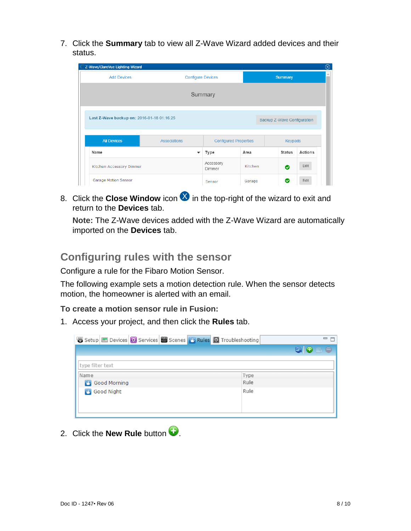7. Click the **Summary** tab to view all Z-Wave Wizard added devices and their status.

| C Z-Wave/ClareVue Lighting Wizard              |                                                                           |                              |                |               | ⊗       |  |
|------------------------------------------------|---------------------------------------------------------------------------|------------------------------|----------------|---------------|---------|--|
| <b>Add Devices</b><br><b>Configure Devices</b> |                                                                           |                              | <b>Summary</b> |               | ∸       |  |
| Summary                                        |                                                                           |                              |                |               |         |  |
|                                                | Last Z-Wave backup on: 2016-01-18 01:16:25<br>Backup Z-Wave Configuration |                              |                |               |         |  |
| <b>All Devices</b>                             | <b>Associations</b>                                                       | <b>Configured Properties</b> |                | Keypads       |         |  |
| Name                                           |                                                                           | Type                         | Area           | <b>Status</b> | Actions |  |
| Kitchen Accessory Dimmer                       |                                                                           | Accessory<br>Dimmer          | Kitchen        | ◉             | Edit    |  |
| <b>Garage Motion Sensor</b>                    |                                                                           | Sensor                       | Garage         | ◎             | Edit    |  |

8. Click the **Close Window** icon **ight** in the top-right of the wizard to exit and return to the **Devices** tab.

**Note:** The Z-Wave devices added with the Z-Wave Wizard are automatically imported on the **Devices** tab.

# **Configuring rules with the sensor**

Configure a rule for the Fibaro Motion Sensor.

The following example sets a motion detection rule. When the sensor detects motion, the homeowner is alerted with an email.

**To create a motion sensor rule in Fusion:** 

1. Access your project, and then click the **Rules** tab.

| 图 Setup <b>E</b> Devices <b>B</b> Services <b>B</b> Scenes <b>B</b> Rules <b>E</b> Troubleshooting | □ 日         |
|----------------------------------------------------------------------------------------------------|-------------|
|                                                                                                    | <b>GORO</b> |
| type filter text                                                                                   |             |
| Name                                                                                               | Type        |
| Good Morning                                                                                       | Rule        |
| <b>B</b> Good Night                                                                                | Rule        |

2. Click the **New Rule** button  $\bullet$ .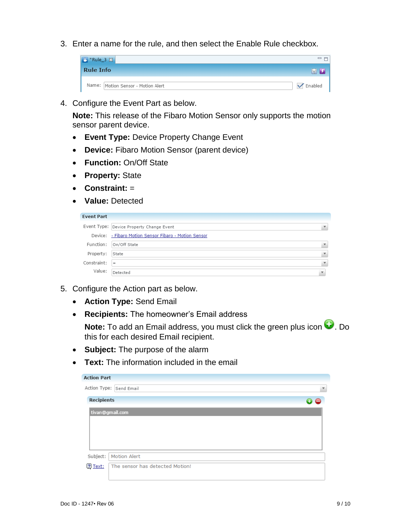3. Enter a name for the rule, and then select the Enable Rule checkbox.



4. Configure the Event Part as below.

**Note:** This release of the Fibaro Motion Sensor only supports the motion sensor parent device.

- **Event Type:** Device Property Change Event
- **Device:** Fibaro Motion Sensor (parent device)
- **Function:** On/Off State
- **Property:** State
- **Constraint:** =
- **Value:** Detected

| <b>Event Part</b> |                                                       |                         |
|-------------------|-------------------------------------------------------|-------------------------|
|                   | Event Type: Device Property Change Event              |                         |
|                   | Device: - Fibaro Motion Sensor Fibaro - Motion Sensor |                         |
| Function:         | On/Off State                                          |                         |
| Property:         | State                                                 |                         |
| Constraint:       | $=$                                                   |                         |
| Value:            | Detected                                              | $\overline{\mathbf{v}}$ |

- 5. Configure the Action part as below.
	- **Action Type:** Send Email
	- **Recipients:** The homeowner's Email address

**Note:** To add an Email address, you must click the green plus icon  $\bullet$ . Do this for each desired Email recipient.

- **Subject:** The purpose of the alarm
- **Text:** The information included in the email

| <b>Action Part</b> |                                                    |  |  |  |  |
|--------------------|----------------------------------------------------|--|--|--|--|
|                    | Action Type: Send Email<br>$\overline{\mathbf{v}}$ |  |  |  |  |
| <b>Recipients</b>  | 00                                                 |  |  |  |  |
| tivan@gmail.com    |                                                    |  |  |  |  |
|                    |                                                    |  |  |  |  |
|                    |                                                    |  |  |  |  |
|                    |                                                    |  |  |  |  |
|                    |                                                    |  |  |  |  |
| Subject:           | <b>Motion Alert</b>                                |  |  |  |  |
| ? Text:            | The sensor has detected Motion!                    |  |  |  |  |
|                    |                                                    |  |  |  |  |